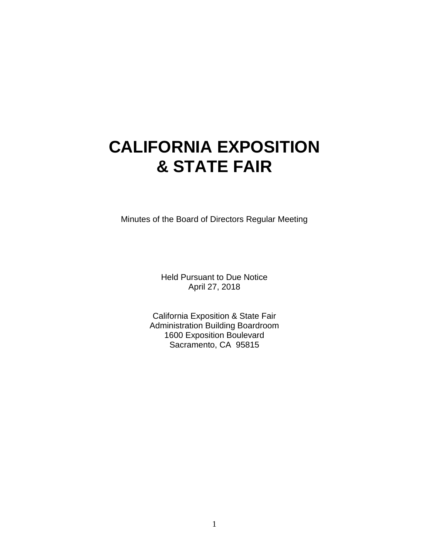# **CALIFORNIA EXPOSITION & STATE FAIR**

Minutes of the Board of Directors Regular Meeting

Held Pursuant to Due Notice April 27, 2018

California Exposition & State Fair Administration Building Boardroom 1600 Exposition Boulevard Sacramento, CA 95815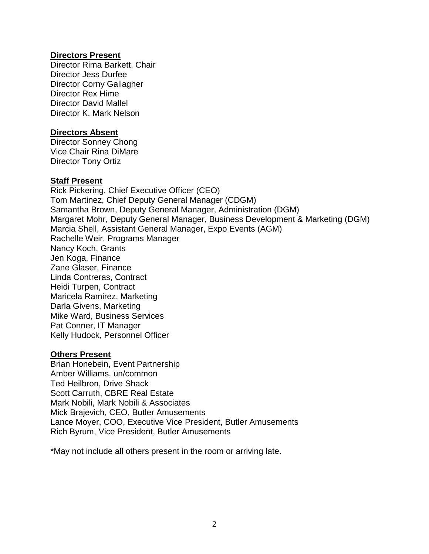#### **Directors Present**

Director Rima Barkett, Chair Director Jess Durfee Director Corny Gallagher Director Rex Hime Director David Mallel Director K. Mark Nelson

#### **Directors Absent**

Director Sonney Chong Vice Chair Rina DiMare Director Tony Ortiz

#### **Staff Present**

Rick Pickering, Chief Executive Officer (CEO) Tom Martinez, Chief Deputy General Manager (CDGM) Samantha Brown, Deputy General Manager, Administration (DGM) Margaret Mohr, Deputy General Manager, Business Development & Marketing (DGM) Marcia Shell, Assistant General Manager, Expo Events (AGM) Rachelle Weir, Programs Manager Nancy Koch, Grants Jen Koga, Finance Zane Glaser, Finance Linda Contreras, Contract Heidi Turpen, Contract Maricela Ramirez, Marketing Darla Givens, Marketing Mike Ward, Business Services Pat Conner, IT Manager Kelly Hudock, Personnel Officer

#### **Others Present**

Brian Honebein, Event Partnership Amber Williams, un/common Ted Heilbron, Drive Shack Scott Carruth, CBRE Real Estate Mark Nobili, Mark Nobili & Associates Mick Brajevich, CEO, Butler Amusements Lance Moyer, COO, Executive Vice President, Butler Amusements Rich Byrum, Vice President, Butler Amusements

\*May not include all others present in the room or arriving late.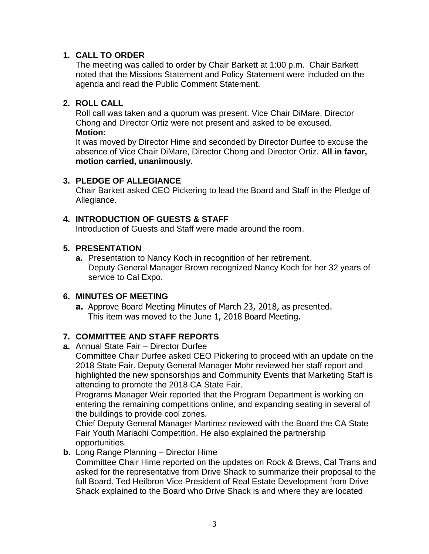# **1. CALL TO ORDER**

The meeting was called to order by Chair Barkett at 1:00 p.m. Chair Barkett noted that the Missions Statement and Policy Statement were included on the agenda and read the Public Comment Statement.

# **2. ROLL CALL**

Roll call was taken and a quorum was present. Vice Chair DiMare, Director Chong and Director Ortiz were not present and asked to be excused. **Motion:**

It was moved by Director Hime and seconded by Director Durfee to excuse the absence of Vice Chair DiMare, Director Chong and Director Ortiz. **All in favor, motion carried, unanimously.**

# **3. PLEDGE OF ALLEGIANCE**

Chair Barkett asked CEO Pickering to lead the Board and Staff in the Pledge of Allegiance.

# **4. INTRODUCTION OF GUESTS & STAFF**

Introduction of Guests and Staff were made around the room.

# **5. PRESENTATION**

**a.** Presentation to Nancy Koch in recognition of her retirement. Deputy General Manager Brown recognized Nancy Koch for her 32 years of service to Cal Expo.

# **6. MINUTES OF MEETING**

**a.** Approve Board Meeting Minutes of March 23, 2018, as presented. This item was moved to the June 1, 2018 Board Meeting.

# **7. COMMITTEE AND STAFF REPORTS**

**a.** Annual State Fair – Director Durfee

Committee Chair Durfee asked CEO Pickering to proceed with an update on the 2018 State Fair. Deputy General Manager Mohr reviewed her staff report and highlighted the new sponsorships and Community Events that Marketing Staff is attending to promote the 2018 CA State Fair.

Programs Manager Weir reported that the Program Department is working on entering the remaining competitions online, and expanding seating in several of the buildings to provide cool zones.

Chief Deputy General Manager Martinez reviewed with the Board the CA State Fair Youth Mariachi Competition. He also explained the partnership opportunities.

**b.** Long Range Planning – Director Hime

Committee Chair Hime reported on the updates on Rock & Brews, Cal Trans and asked for the representative from Drive Shack to summarize their proposal to the full Board. Ted Heilbron Vice President of Real Estate Development from Drive Shack explained to the Board who Drive Shack is and where they are located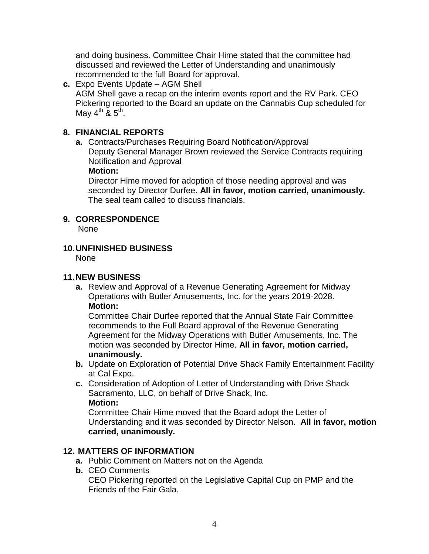and doing business. Committee Chair Hime stated that the committee had discussed and reviewed the Letter of Understanding and unanimously recommended to the full Board for approval.

**c.** Expo Events Update – AGM Shell AGM Shell gave a recap on the interim events report and the RV Park. CEO Pickering reported to the Board an update on the Cannabis Cup scheduled for May 4<sup>th</sup> & 5<sup>th</sup>.

# **8. FINANCIAL REPORTS**

**a.** Contracts/Purchases Requiring Board Notification/Approval Deputy General Manager Brown reviewed the Service Contracts requiring Notification and Approval

#### **Motion:**

Director Hime moved for adoption of those needing approval and was seconded by Director Durfee. **All in favor, motion carried, unanimously.** The seal team called to discuss financials.

# **9. CORRESPONDENCE**

None

# **10.UNFINISHED BUSINESS**

None

# **11.NEW BUSINESS**

**a.** Review and Approval of a Revenue Generating Agreement for Midway Operations with Butler Amusements, Inc. for the years 2019-2028. **Motion:**

Committee Chair Durfee reported that the Annual State Fair Committee recommends to the Full Board approval of the Revenue Generating Agreement for the Midway Operations with Butler Amusements, Inc. The motion was seconded by Director Hime. **All in favor, motion carried, unanimously.**

- **b.** Update on Exploration of Potential Drive Shack Family Entertainment Facility at Cal Expo.
- **c.** Consideration of Adoption of Letter of Understanding with Drive Shack Sacramento, LLC, on behalf of Drive Shack, Inc. **Motion:**

Committee Chair Hime moved that the Board adopt the Letter of Understanding and it was seconded by Director Nelson. **All in favor, motion carried, unanimously.**

# **12. MATTERS OF INFORMATION**

- **a.** Public Comment on Matters not on the Agenda
- **b.** CEO Comments

CEO Pickering reported on the Legislative Capital Cup on PMP and the Friends of the Fair Gala.